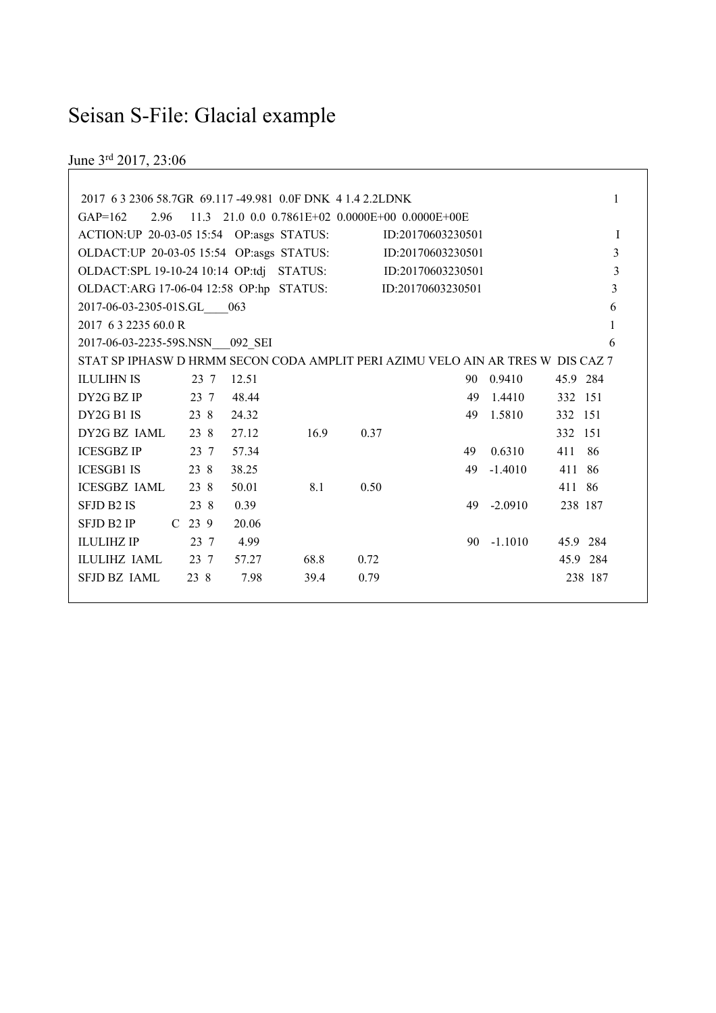# Seisan S-File: Glacial example

June 3rd 2017, 23:06

| 2017 63 2306 58.7GR 69.117 -49.981 0.0F DNK 4 1.4 2.2LDNK                       |                   |       |                                                   |      |                   |           |           | 1              |
|---------------------------------------------------------------------------------|-------------------|-------|---------------------------------------------------|------|-------------------|-----------|-----------|----------------|
| $GAP=162$<br>2.96                                                               |                   |       | $11.3$ 21.0 0.0 0.7861E+02 0.0000E+00 0.0000E+00E |      |                   |           |           |                |
| ACTION: UP 20-03-05 15:54 OP: asgs STATUS:                                      |                   |       |                                                   |      | ID:20170603230501 |           |           | I              |
| OLDACT: UP 20-03-05 15:54 OP: asgs STATUS:                                      |                   |       |                                                   |      | ID:20170603230501 |           |           | 3              |
| OLDACT:SPL 19-10-24 10:14 OP:tdj STATUS:                                        |                   |       |                                                   |      | ID:20170603230501 |           |           | 3              |
| OLDACT:ARG 17-06-04 12:58 OP:hp STATUS:                                         |                   |       |                                                   |      | ID:20170603230501 |           |           | $\mathfrak{Z}$ |
| 2017-06-03-2305-01S.GL 063                                                      |                   |       |                                                   |      |                   |           |           | 6              |
| 2017 63 2235 60.0 R                                                             |                   |       |                                                   |      |                   |           |           | 1              |
| 2017-06-03-2235-59S.NSN 092 SEI                                                 |                   |       |                                                   |      |                   |           |           | 6              |
| STAT SP IPHASW D HRMM SECON CODA AMPLIT PERI AZIMU VELO AIN AR TRES W DIS CAZ 7 |                   |       |                                                   |      |                   |           |           |                |
| <b>ILULIHN IS</b>                                                               | 23 7              | 12.51 |                                                   |      |                   | 90 0.9410 | 45.9 284  |                |
| DY2G BZ IP                                                                      | 23 7              | 48.44 |                                                   |      | 49                | 1.4410    | 332 151   |                |
| DY2G B1 IS                                                                      | 23 8              | 24.32 |                                                   |      | 49                | 1.5810    | 332 151   |                |
| DY2G BZ JAML                                                                    | 23 8              | 27.12 | 16.9                                              | 0.37 |                   |           | 332 151   |                |
| <b>ICESGBZ IP</b>                                                               | 23 7              | 57.34 |                                                   |      | 49                | 0.6310    | 411<br>86 |                |
| <b>ICESGB1 IS</b>                                                               | 23 8              | 38.25 |                                                   |      | 49                | $-1.4010$ | 411 86    |                |
| <b>ICESGBZ IAML</b>                                                             | 23 8              | 50.01 | 8.1                                               | 0.50 |                   |           | 411 86    |                |
| <b>SFJD B2 IS</b>                                                               | 23 8              | 0.39  |                                                   |      | 49                | $-2.0910$ | 238 187   |                |
| SFJD B2 IP                                                                      | C <sub>23</sub> 9 | 20.06 |                                                   |      |                   |           |           |                |
| <b>ILULIHZ IP</b>                                                               | 23 7              | 4.99  |                                                   |      | 90                | $-1.1010$ | 45.9 284  |                |
| <b>ILULIHZ IAML</b>                                                             | 23 7              | 57.27 | 68.8                                              | 0.72 |                   |           | 45.9 284  |                |
| <b>SFJD BZ JAML</b>                                                             | 23 8              | 7.98  | 39.4                                              | 0.79 |                   |           | 238 187   |                |
|                                                                                 |                   |       |                                                   |      |                   |           |           |                |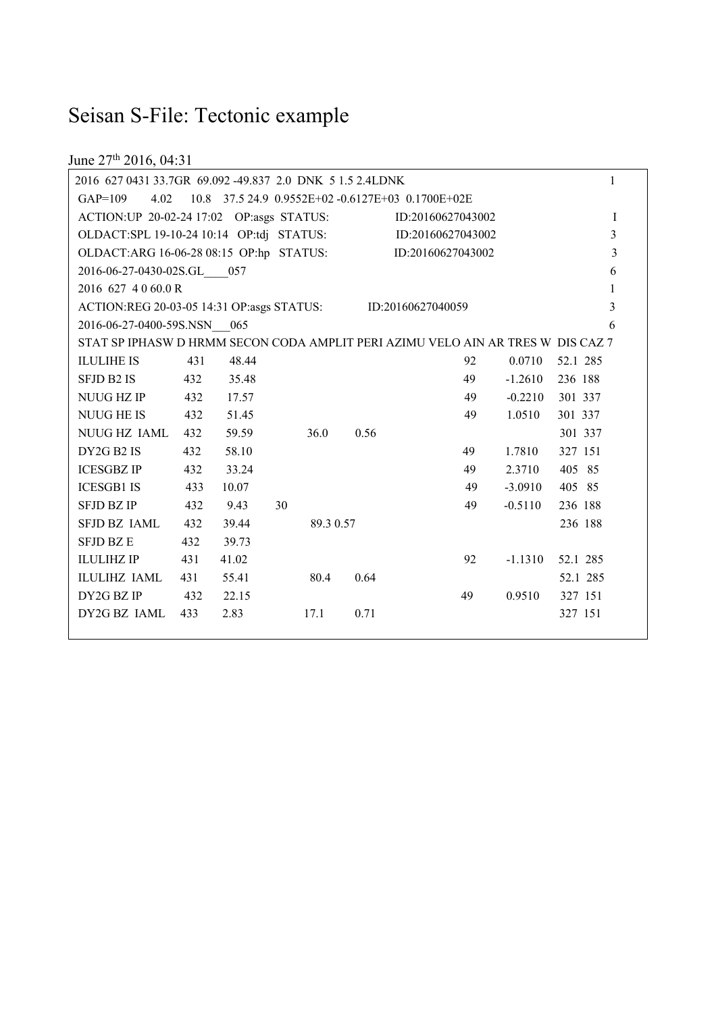# Seisan S-File: Tectonic example

June 27<sup>th</sup> 2016, 04:31

| 2016 627 0431 33.7GR 69.092 -49.837 2.0 DNK 5 1.5 2.4LDNK                       |     |       |                                                   |          |      |                   |    |           |          | $\mathbf{1}$   |
|---------------------------------------------------------------------------------|-----|-------|---------------------------------------------------|----------|------|-------------------|----|-----------|----------|----------------|
| 4.02<br>$GAP=109$                                                               |     |       | 10.8 37.5 24.9 0.9552E+02 -0.6127E+03 0.1700E+02E |          |      |                   |    |           |          |                |
| ACTION: UP 20-02-24 17:02 OP: asgs STATUS:                                      |     |       |                                                   |          |      | ID:20160627043002 |    |           |          | $\mathbf{I}$   |
| OLDACT:SPL 19-10-24 10:14 OP:tdj STATUS:                                        |     |       |                                                   |          |      | ID:20160627043002 |    |           |          | $\overline{3}$ |
| OLDACT:ARG 16-06-28 08:15 OP:hp STATUS:                                         |     |       |                                                   |          |      | ID:20160627043002 |    |           |          | $\mathfrak{Z}$ |
| 2016-06-27-0430-02S.GL 057                                                      |     |       |                                                   |          |      |                   |    |           |          | 6              |
| 2016 627 4 0 60.0 R                                                             |     |       |                                                   |          |      |                   |    |           |          | $\mathbf{1}$   |
| ACTION:REG 20-03-05 14:31 OP:asgs STATUS: ID:20160627040059                     |     |       |                                                   |          |      |                   |    |           |          | 3              |
| 2016-06-27-0400-59S.NSN 065                                                     |     |       |                                                   |          |      |                   |    |           |          | 6              |
| STAT SP IPHASW D HRMM SECON CODA AMPLIT PERI AZIMU VELO AIN AR TRES W DIS CAZ 7 |     |       |                                                   |          |      |                   |    |           |          |                |
| <b>ILULIHE IS</b>                                                               | 431 | 48.44 |                                                   |          |      |                   | 92 | 0.0710    | 52.1 285 |                |
| <b>SFJD B2 IS</b>                                                               | 432 | 35.48 |                                                   |          |      |                   | 49 | $-1.2610$ | 236 188  |                |
| NUUG HZ IP                                                                      | 432 | 17.57 |                                                   |          |      |                   | 49 | $-0.2210$ | 301 337  |                |
| <b>NUUG HE IS</b>                                                               | 432 | 51.45 |                                                   |          |      |                   | 49 | 1.0510    | 301 337  |                |
| NUUG HZ IAML                                                                    | 432 | 59.59 | 36.0                                              |          | 0.56 |                   |    |           | 301 337  |                |
| DY2G B2 IS                                                                      | 432 | 58.10 |                                                   |          |      |                   | 49 | 1.7810    | 327 151  |                |
| <b>ICESGBZ IP</b>                                                               | 432 | 33.24 |                                                   |          |      |                   | 49 | 2.3710    | 405 85   |                |
| <b>ICESGB1 IS</b>                                                               | 433 | 10.07 |                                                   |          |      |                   | 49 | $-3.0910$ | 405 85   |                |
| <b>SFJD BZ IP</b>                                                               | 432 | 9.43  | 30                                                |          |      |                   | 49 | $-0.5110$ | 236 188  |                |
| SFJD BZ IAML                                                                    | 432 | 39.44 |                                                   | 89.30.57 |      |                   |    |           | 236 188  |                |
| <b>SFJD BZ E</b>                                                                | 432 | 39.73 |                                                   |          |      |                   |    |           |          |                |
| <b>ILULIHZ IP</b>                                                               | 431 | 41.02 |                                                   |          |      |                   | 92 | $-1.1310$ | 52.1 285 |                |
| ILULIHZ IAML                                                                    | 431 | 55.41 | 80.4                                              |          | 0.64 |                   |    |           | 52.1 285 |                |
| DY2G BZ IP                                                                      | 432 | 22.15 |                                                   |          |      |                   | 49 | 0.9510    | 327 151  |                |
| DY2G BZ IAML                                                                    | 433 | 2.83  | 17.1                                              |          | 0.71 |                   |    |           | 327 151  |                |
|                                                                                 |     |       |                                                   |          |      |                   |    |           |          |                |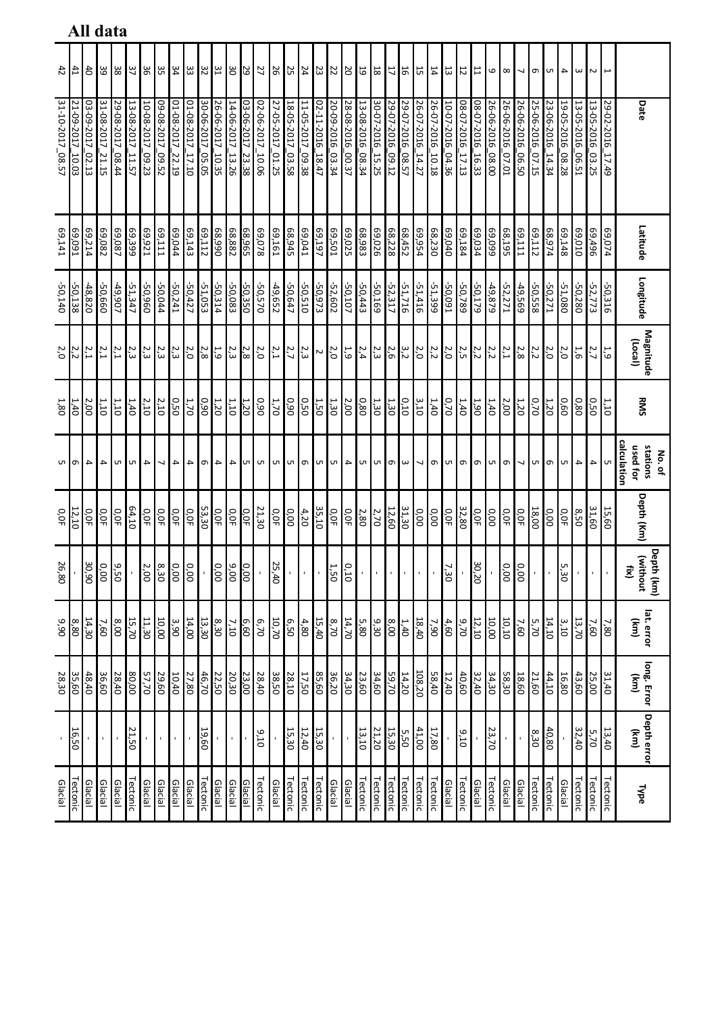|                             |                     |                     |                     | Ali uata            |                            |                     |                     |                                 |                      |                      |                     |                     |                     |                        |                        |                     |                        |                     |                        |                     |                        |                     |                            |                  |                                 |                     |                     |                     |                     |                  |                      |                          |                     |                     |                                 |                          |                        |                     |                                               |
|-----------------------------|---------------------|---------------------|---------------------|---------------------|----------------------------|---------------------|---------------------|---------------------------------|----------------------|----------------------|---------------------|---------------------|---------------------|------------------------|------------------------|---------------------|------------------------|---------------------|------------------------|---------------------|------------------------|---------------------|----------------------------|------------------|---------------------------------|---------------------|---------------------|---------------------|---------------------|------------------|----------------------|--------------------------|---------------------|---------------------|---------------------------------|--------------------------|------------------------|---------------------|-----------------------------------------------|
| 42                          | $\frac{41}{4}$      |                     | 33                  | 38                  | 37                         |                     | 35                  | 34                              | 33                   | 32                   | 31                  | ΟE                  | 29                  | 27                     | 26                     | 25                  | $\frac{24}{4}$         | 23                  | 22                     | 20                  | 19                     | 18                  | $\overline{11}$            | 16               | 15                              | $14\,$              | 13                  | $12\,$              | 11                  | 6                | $\infty$             | $\overline{\phantom{0}}$ |                     | $\sigma$   ທ        | 4                               | $\omega$                 | $\sim$                 |                     |                                               |
| 31-10-2017_08.57            | 21-09-2017<br>10.03 | 13-09-2017<br>02.13 | 31-08-2017<br>21.15 | 29-08-2017<br>08.44 | 13-08-2017<br>11.57        | 10-08-2017<br>09.23 | 09-08-2017<br>09.52 | 01-08-2017<br>$\frac{22.19}{ }$ | 01-08-2017<br>01'21' | 30-06-2017<br>-05.05 | 26-06-2017<br>10.35 | 14-06-2017<br>13.26 | 03-06-2017<br>23.38 | 02-06-2017<br>$-10.06$ | 27-05-2017<br>$-01.25$ | 18-05-2017<br>03.58 | 11-05-2017<br>$-09.38$ | 02-11-2016<br>18.47 | 20-09-2016<br>$-03.34$ | 28-08-2016<br>00.37 | 13-08-2016<br>$-08.34$ | 30-07-2016<br>15.25 | 29-07-2016<br>$-09.12$     | 29-07-2016_08.57 | 26-07-2016<br>$\frac{14.27}{ }$ | 26-07-2016<br>10.18 | 10-07-2016<br>04.36 | 08-07-2016<br>17.13 | 08-07-2016<br>16.33 | 26-06-2016_08.00 | 26-06-2016<br>-07.01 | 26-06-2016<br>-06.50     | 25-06-2016<br>07.15 | 23-06-2016<br>14.34 | 19-05-2016<br>$\frac{08.28}{1}$ | 13-05-2016<br>-06.51     | 13-05-2016<br>$-03.25$ | 29-02-2016<br>17.49 | Date                                          |
| Ep.141                      | 69,091              | 69,214              | 69,082              | 69,399              |                            | E2,921              | 69,111              | 49,044                          | 69,143               | 69,112               | 066'89              | 68,882              | 68,965              | 820'69                 | L <sub>01</sub> '69    | 68,945              | 69,041                 | 69,197              | 69,501                 | 69,025              | 68,983                 | 69,026              | $\frac{68,452}{68,228}$    |                  | 69,954                          | 68,230              | 69,040              | 69,184              | 69,034              | 69,099           | 68,195               | 69,111                   | 69,112              | 68,974              | 69,148                          | 69,010                   | 69,496                 | 420'69              | Latitude                                      |
| -50,140                     | $-50,138$           | $-48,820$           | -50,660             | -49,907             | $-51,347$                  | 096'05-             | -50,044             | -50,241                         | $-50,427$            | $-51,053$            | $-50,314$           | -50,083             | $-50,350$           | 0/205-                 | -49,652                | -50,647             | -50,510                | -50,973             | $-52,602$              | $-50,107$           | $-50,443$              | $-50,169$           | $-52,317$                  | $-51,716$        | $-51,416$                       | -51,399             | $-50,091$           | $-50,789$           | $-50,179$           | $-49,879$        | $-52,271$            | -49,569                  | -50,558             | -50,271             | $-51,080$                       | $-50,280$                | $-52,773$              | -50,316             | Longitude                                     |
| 2,0                         | 2,2                 | 2,1                 | 2,1                 | $\mathbf{z}$<br>⊶   | $\overline{q}$<br>$\omega$ |                     | $\frac{2,3}{2,3}$   | $\frac{2}{3}$                   | 2,0                  | $2,8$                | 1,9                 | 2,3                 | 2,8                 | 2,0                    | 2,1                    | 2,7                 | 2,3                    | $\sim$              | 2,0                    | 1,9                 | 2,4                    | 2,3                 | 2,6                        | 3,2              | 2,0                             | 2,2                 | 2,0                 | 2,5                 | 2,2                 | 2,2              | 2,1                  | 2,8                      | 2,2                 | 2,0                 | 2,0                             | 1,6                      | 2,7                    | 1,9                 | Magnitude<br>(Local)                          |
| 1,80                        | έĪ                  | 2,00                | 1,10                | 1,10                | 1,40                       | 2,10                | 2,10                | 0.50                            | 1,70                 | 0.90                 | 1,20                | 1,10                | 1,20                | 06'0                   | 1,70                   | 0,90                | 0,50                   | 1,50                | 1,30                   | 2,00                | 0,80                   | 1,30                | 1,30                       | 0,10             | 3,10                            | 1,40                | 0,70                | 1,40                | 1,90                | 1,40             | 2,00                 | 1,20                     | 0,70                | 1,20                | 0,80                            |                          | 0,50                   | 1,10                | RMS                                           |
| <u>u</u>   თ                |                     |                     | $\vert$ 4 $\vert$ 4 |                     | $4\pi$ $\sigma$            |                     | $\sim$              | $\overline{\phantom{a}}$        | $\overline{4}$       | $\sigma$             | $\overline{4}$      |                     |                     | <b>N N N N N N N 4</b> |                        |                     |                        |                     |                        | $\rightarrow$       |                        |                     | $\omega$ $\sigma$ $\omega$ |                  |                                 | $\sim$ 0            | <b>u</b>            | G                   |                     | o u              | $\sigma$             | $\overline{\phantom{0}}$ |                     | ഗ∣ത                 | UП.                             | $\overline{\phantom{a}}$ | 4                      | UП                  | calculation<br>used for<br>stations<br>No. of |
| О,ОF                        | 12,10               | О,ОF                | 0,0F                | О,ОF                | 64,10                      | O,OF                | o,of                | 0,0F                            | 0,0F                 | 53,30                | $rac{10}{\sqrt{5}}$ | O,OF                | 0,0F                | 21,30                  | O,OF                   | 0.00                | 4,20                   | 35,10               | О,ОF                   | 0,0F                | 2,80                   | 2,70                | 12,60                      | 31,30            | 0.00                            | 0.00                | 0,0F                | 32,80               | 0,0F                | 0,00             | 0,0F                 | 0,0F                     | 18,00               | 0.00                | 0,0F                            | 8,50                     | 31,60                  | 15,60               | Depth (Km)                                    |
| 26<br>$\mathbf{S}^{\prime}$ |                     |                     | $\frac{18}{15}$     | 9,50                |                            |                     | $\frac{8,30}{2,00}$ |                                 | $\frac{0.00}{0.00}$  |                      | $\circ$<br>ò,       | 00'6                | 00'                 |                        | 25<br>$40^{\circ}$     |                     |                        |                     | 1,50                   | 0.10                |                        |                     |                            |                  |                                 |                     | 7,30                |                     | 30<br>20            |                  | 0.00                 | 0.00                     |                     |                     | 5,30                            |                          |                        |                     | Depth (km)<br>(without<br>Ë                   |
| 06'6                        | 8,80                | 14,30               | 7,60                | 8,00                | 15,70                      | 11,30               | 10,00               | 3,90                            | 14,00                | 13,30                | 8,30                | 7,10                | 6,60                | 6,70                   | 10,70                  | 6,50                | 4,80                   | 15,40               | 8,70                   | 14,70               | 5,80                   | 9,30                | 8,00                       | 1,40             | 18,40                           | 7,90                | 4,60                | 9,70                | 12,10               | 10,00            | 10,10                | 7,60                     | 5,70                | 14,10               | 3,10                            | 13,70                    | 7,60                   | 7,80                | lat. error<br>$\widetilde{\mathbf{g}}$        |
| 28,30                       | 35,60               | 48,40               | 36,60               | 28,40               | 80,00                      | 57,70               | 29,60               | 10,40                           | 27,80                | 46,70                | 22,50               | 20,30               | 23,00               | 28,40                  | 38,50                  | 28,10               | 17,50                  | 85,60               | 36,20                  | 34,30               | 23,60                  | 34,60               | 59,70                      | 14,20            | 108,20                          | 58,40               | 12,40               | 40,60               | 32,40               | 34,30            | 58,30                | 18,60                    | 21,60               | 44,10               | 16,80                           | 43,60                    | 25,00                  | 31,40               | (rm)                                          |
| $\blacksquare$              | 16,50               |                     |                     |                     | 21,50                      |                     |                     |                                 |                      | 19,60                |                     |                     |                     | 616                    |                        | 15,30               | 12,40                  | 15,30               | $\mathbf{I}$           |                     | 13,10                  | 21,20               | $\frac{15,30}{15,30}$      | 5,50             | 41,00                           | 17,80               |                     | 616                 |                     | 23,70            |                      |                          | 8,30                | 40,80               |                                 | 32,40                    | 5,70                   | 13,40               | long. Error Depth error<br>$\overline{m}$     |
| Glacial                     | ectonic             | Glacial             | Glacial             | Glacial             | Tectonic                   | Glacial             | Glacial             | Glacial                         | Glacial              | ectonic              | Glacial             | Glacial             | Glacial             | Tectonic               | Glacial                | <b>Tectonic</b>     | <b>Tectonic</b>        | <b>Tectonic</b>     | Glacial                | Glacial             | Tectonic               | <b>Tectonic</b>     | <b>Tectonic</b>            | <b>Tectonic</b>  | ectonic                         | <b>Tectonic</b>     | Glacial             | Tectonic            | Glacial             | <b>Tectonic</b>  | Glacial              | Glacial                  | <b>Tectonic</b>     | Tectonic            | Glacial                         | Tectonic                 | <b>Tectonic</b>        | Tectonic            | <b>Type</b>                                   |

#### **All data**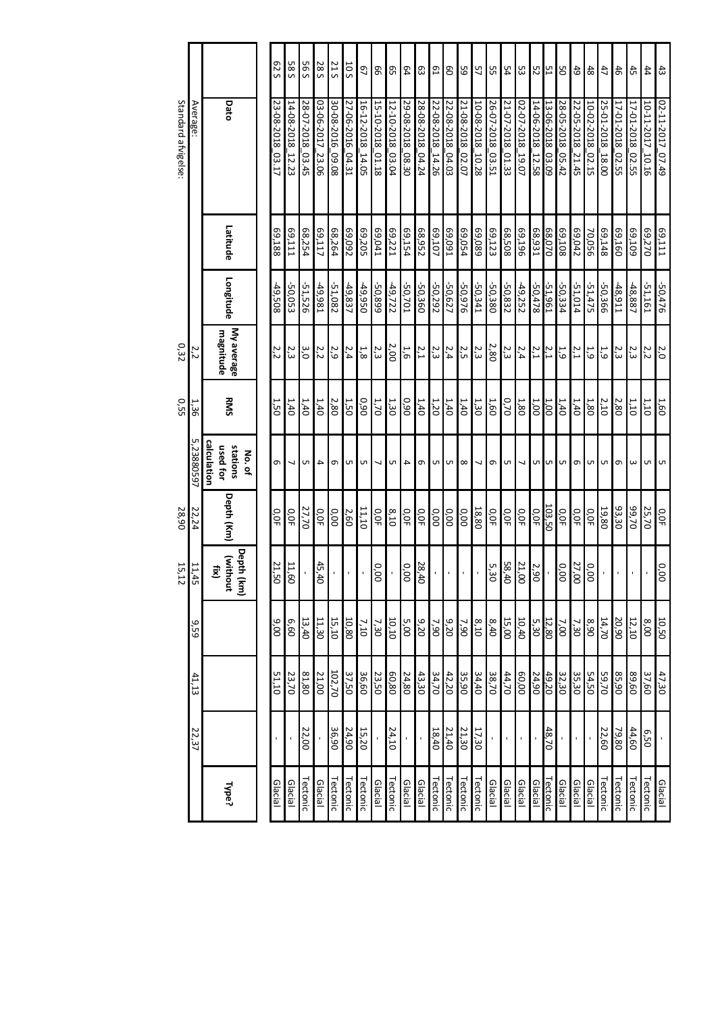|                     |                |                                               | S Z 9            | 585                 | 595                    | 285                 | 21S              | 50T                    | G)                  | 99                       | G5                     | 54               | ස                | С1                  | 8                      | 59                     | 57                  | 55                     | 54               | ပ္ထ                      | 212                 |                     | 8                      | 6 <sub>0</sub>      | $48\,$              | 47                  | $46\,$           | $45\,$           | $\ddagger$             | $\ddot{3}$       |
|---------------------|----------------|-----------------------------------------------|------------------|---------------------|------------------------|---------------------|------------------|------------------------|---------------------|--------------------------|------------------------|------------------|------------------|---------------------|------------------------|------------------------|---------------------|------------------------|------------------|--------------------------|---------------------|---------------------|------------------------|---------------------|---------------------|---------------------|------------------|------------------|------------------------|------------------|
| Standard afvigelse: | Average:       | Dato                                          | 23-08-2018_03.17 | 14-08-2018<br>12.23 | 28-07-2018<br>$-03.45$ | 03-06-2017<br>23.06 | 30-08-2016_09.08 | 27-06-2016<br>$-04.31$ | 16-12-2018<br>14.05 | 15-10-2018<br>$-01.18$   | 12-10-2018<br>$-03.04$ | 29-08-2018 08.30 | 28-08-2018_04.24 | 22-08-2018<br>14.26 | 22-08-2018<br>$-64.03$ | 21-08-2018<br>$-02.07$ | 10-08-2018<br>10.28 | 26-07-2018<br>$-03.51$ | 21-07-2018_01.33 | 02-07-2018<br>10.07      | 14-06-2018<br>12.58 | 13-06-2018<br>03.09 | 28-05-2018<br>$-05.42$ | 22-05-2018<br>21.45 | 10-02-2018<br>02.15 | 25-01-2018<br>18.00 | 17-01-2018_02.55 | 17-01-2018 02.55 | 10-11-2017<br>$-10.16$ | 02-11-2017_07.49 |
|                     |                | Latitude                                      | 881'69           | LTT'69              | 68,254                 | LT'69               | 68,264           | 69,092                 | 69,205              | 69,041                   | 69,221                 | 69,154           | E8,952           | <b>69,107</b>       | 69,091                 | 69,054                 | 69,089              | 69,123                 | 805'89           | 961'69                   | E6'89               | 68,070              | 69,108                 | 69,042              | <b>70,056</b>       | 69,148              | 69,160           | 601'69           | 69,270                 | 69,111           |
|                     |                | Longitude                                     | 49,508           | 50,053              | -51,526                | -49,981             | $-51,082$        | $-49,837$              | 056'6t              | -50,899                  | $-49,722$              | -50,701          | -50,360          | $-50,292$           | -50,627                | 926'05-                | $-50,341$           | -50,380                | -50,832          | $-49,252$                | -50,478             | $-51,961$           | -50,334                | -51,014             | $-51,475$           | -50,366             | -48,911          | $-48,887$        | $-51,161$              | $-50,476$        |
| 0,32                | 22             | My average<br>magnitude                       | 2,2              | 2,3                 | 3,O                    | 2,2                 | 2,9              | 2,4                    | 1,8                 | 2,3                      | 2,00                   | 1,6              | 2,1              | 2,3                 | 2,4                    | 2,5                    | 2,3                 | 2,80                   | 2,3              | 2,4                      | 2,1                 | 2,1                 | 1,9                    | 2,1                 | 1,9                 | 1,9                 | 2,3              | 2,3              | 2,2                    | 2,0              |
| <b>0,55</b>         | 1,36           | RMS                                           | <b>1,50</b>      | 1,40                | 1,40                   | 1,40                | 2,80             | 1,50                   | 06'0                | 1,70                     | 1,30                   | 0.90             | 1,40             | 1,20                | 1,40                   | 1,40                   | 1,30                | 1,60                   | 0,70             | 1,80                     | 1,00                | 1,00                | 1,40                   | 1,40                | 1,80                | 2,10                | 2,80             | 1,10             | 1,10                   | 1,60             |
|                     | Uп<br>73880597 | calculation<br>stations<br>used for<br>No. of | $\sigma$         | ┙                   | UП.                    | 4                   | G                | UT                     | UП                  | $\overline{\phantom{0}}$ | Iсп                    | 4                |                  | ത   ഗ∣              | Uл                     | $\infty$               | ┙                   | G                      | UT.              | $\overline{\phantom{a}}$ |                     | u u                 | Uл                     | $\sigma$            |                     | ஶ                   | Ō                | $\omega$         | UП                     | UЛ               |
| 28,90               | 22,24          | Depth (Km)                                    | О,ОF             | О,ОF                | 27,70                  | о,<br>Я             | 0.00             | 2,60                   | 11,10               | О,ОF                     | 8,10                   | О,ОF             | О,ОF             | 0.00                | 0.00                   | 0.00                   | 18,80               | О,ОF                   | О, ОF            | O,OF                     | O,OF                | 103,50              | О,ОF                   | О, О                | О,ОF                | 19,80               | 93,30            | 02,70            | 25,70                  | O,OF             |
| 15,12               | 11,45          | Depth (km)<br>(without<br>£                   | 21,50            | 11,60               |                        | 45,40               |                  |                        |                     | 0.00                     |                        | 0.00             | 28,40            |                     | ٠                      |                        |                     | 5,30                   | 58,40            | 21,00                    | 2,90                |                     | 0.00                   | 27,00               | 0.00                |                     |                  |                  |                        | 0.00             |
|                     | 9,59           |                                               | 00'6             | 09'9                | 13,40                  | 11,30               | 15,10            | 10,80                  | 7,10                | 7,30                     | 10,10                  | 5,00             | 9,20             | 7,90                | 9,20                   | 7,90                   | 8,10                | 8,40                   | 15,00            | 10,40                    | 5,30                | 12,80               | 7,00                   | 7,30                | 8,90                | 14,70               | 20,90            | 12,10            | 6,00                   | 10,50            |
|                     | 41, 13         |                                               | 51,10            | 23,70               | 81,80                  | 21,00               | 102,70           | 37,50                  | 36,60               | 23,50                    | 60,80                  | 24,80            | 43,30            | 34,70               | 42,20                  | 35,90                  | 34,40               | 38,70                  | 44,70            | 60,00                    | 24,90               | 49,20               | 32,30                  | 35,30               | 54,50               | 59,70               | 06'S8            | 89,60            | 37,60                  | 47,30            |
|                     | 22,37          |                                               |                  |                     | 22,00                  |                     | 36,90            | 24,90                  | 15,20               |                          | 24,10                  |                  |                  | 18,40               | 21,40                  | 21,30                  | 17,30               |                        |                  |                          |                     | 48,70               |                        |                     |                     | 22,60               | 79,80            | 44,60            | 0'20                   |                  |
|                     |                | Type?                                         | Glacial          | Glacial             | Tectonic               | Glacial             | Tectonic         | Tectonic               | Tectonic            | Glacial                  | <b>Tectonic</b>        | Glacial          | Glacial          | <b>Tectonic</b>     | <b>Tectonic</b>        | Tectonic               | <b>Tectonic</b>     | Glacial                | Glacial          | Glacial                  | Glacial             | <b>Tectonic</b>     | Glacial                | Glacial             | Glacial             | <b>Tectonic</b>     | Tectonic         | <b>Tectonic</b>  | Tectonic               | Glacial          |

Standard afvigelse:

0,32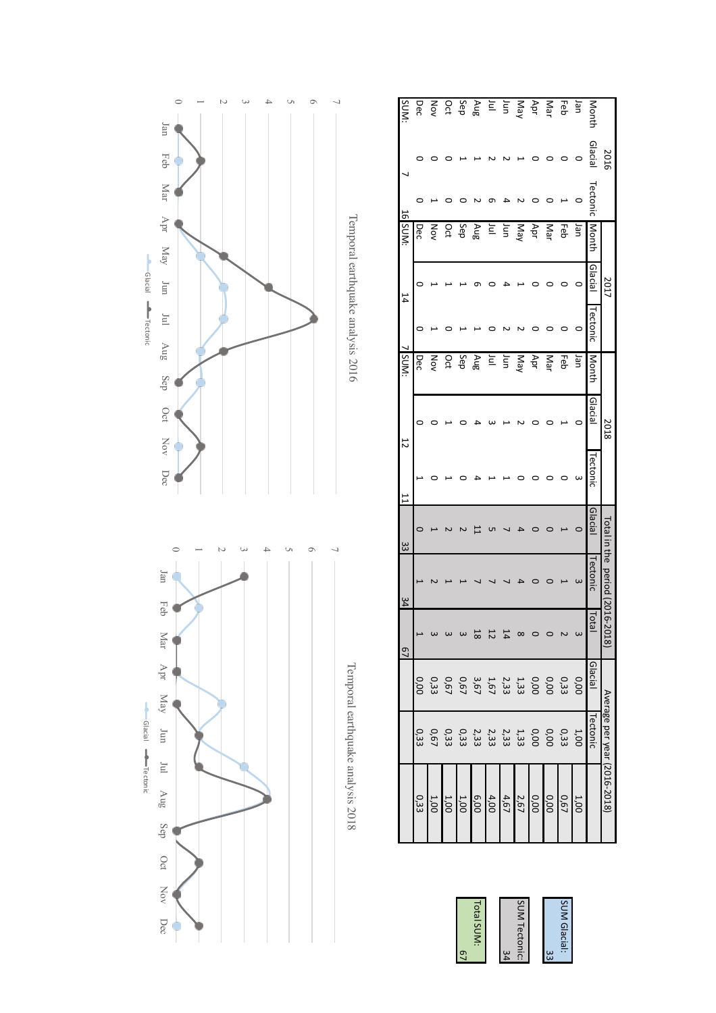

 $\circ$  $\overline{\phantom{0}}$  $\overline{z}$  $\omega$  $\overline{4}$  $\circ$ 6  $\overline{\phantom{a}}$ 

 $\overline{1}$ ۰

Jan

Feb

Mar

Apr

May

|                     |                                                                                         |                                                                                                 | $\overline{c}$             | $\frac{34}{1}$          | $\frac{33}{2}$ |         | $\overline{5}$ | ISUM: |         | 14      | 16 SUN:    |         |         | <b>SUM:</b>       |
|---------------------|-----------------------------------------------------------------------------------------|-------------------------------------------------------------------------------------------------|----------------------------|-------------------------|----------------|---------|----------------|-------|---------|---------|------------|---------|---------|-------------------|
| 0,33                |                                                                                         |                                                                                                 |                            |                         |                |         |                | Dec   |         |         | Dec        |         |         | Dec               |
| 1,00                |                                                                                         |                                                                                                 |                            |                         |                |         |                | Š     |         |         | Šδ         |         |         | Κó                |
| 1,00                |                                                                                         |                                                                                                 |                            |                         |                |         |                | ဥ     |         |         | Оct        |         |         |                   |
| 1,00                | 1 0 0 0 1 1 1 1 1 1 0 0 0<br>0 3 3 0 0 3 3 3 3 3 3 3 3 5 9<br>0 3 9 0 3 3 3 3 3 3 5 6 9 | 0 0 0 0 0 1 2 1 3 1 9 0 0 0 0<br>0 3 3 0 0 3 3 3 3 6 6 6 6 7 8 9<br>0 3 3 9 9 3 3 3 6 7 6 7 8 9 |                            |                         |                |         |                | Sep   |         |         | Sep        |         |         | Aug<br>Sep<br>Oct |
|                     |                                                                                         |                                                                                                 | $^{\circ}$                 |                         |                |         |                | Aug   |         |         | Aug        |         |         |                   |
| $\frac{4,00}{6,00}$ |                                                                                         |                                                                                                 |                            |                         |                |         |                | $\Xi$ |         |         | Ξ          |         |         | Ξ                 |
| 4,67                |                                                                                         |                                                                                                 | 14                         |                         |                |         |                | Ξ     |         |         | Jun        |         |         | Jun               |
|                     |                                                                                         |                                                                                                 |                            |                         |                |         |                | Nay   |         |         | Nay        |         |         | NeW               |
| $\frac{0,00}{2,67}$ |                                                                                         |                                                                                                 |                            |                         |                |         |                | Apr   |         |         | Apr        |         |         | Apr               |
| 0,00                |                                                                                         |                                                                                                 |                            |                         |                |         |                | Mar   |         |         | <b>Nar</b> |         |         | Mar               |
| 0.67                |                                                                                         |                                                                                                 |                            |                         |                |         |                | 공     |         |         | 공          |         |         | 공                 |
| 1,00                |                                                                                         |                                                                                                 |                            |                         |                |         |                | pan   |         |         | Jan        |         |         | uer               |
|                     | Tectonic                                                                                | Glacial                                                                                         | <b>Total</b>               | ectonic                 | Glacial        | ectonic | Glacial        | Montr | ectonic | Glacial |            | Tectoni | Glacial | Montl             |
|                     | Average per year (2016-2018)                                                            |                                                                                                 | $16-20$<br>$\frac{18}{18}$ | ctal in the period (20: |                |         | 2018           |       |         | 2017    |            |         | 2016    |                   |

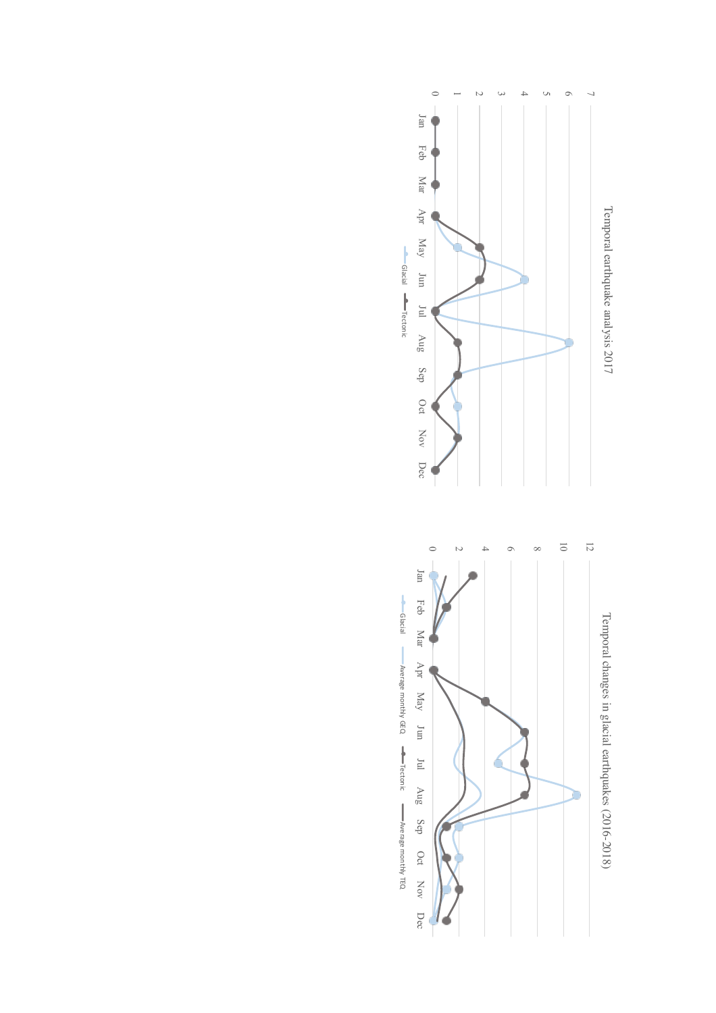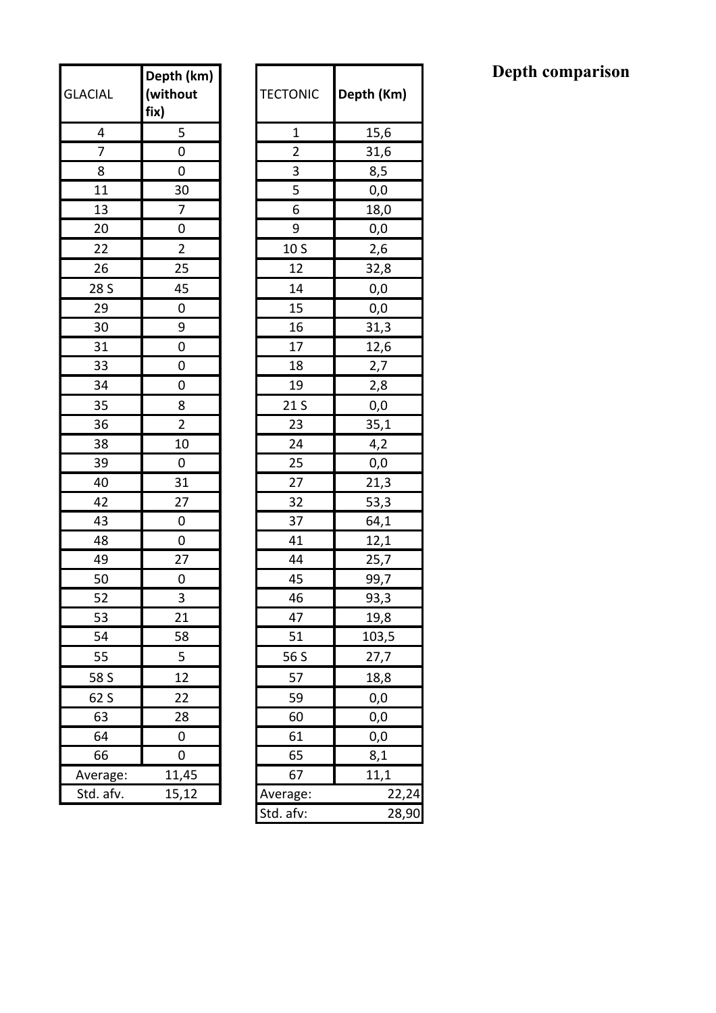| <b>GLACIAL</b> | Depth (km)<br>(without<br>fix) | <b>TECTONIC</b> | Depth (K |
|----------------|--------------------------------|-----------------|----------|
| 4              | 5                              | $\mathbf 1$     | 15,6     |
| 7              | $\mathbf 0$                    | $\overline{2}$  | 31,6     |
| 8              | 0                              | 3               | 8,5      |
| 11             | 30                             | 5               | 0,0      |
| 13             | $\overline{7}$                 | 6               | 18,0     |
| 20             | 0                              | 9               | 0,0      |
| 22             | $\overline{2}$                 | 10 S            | 2,6      |
| 26             | 25                             | 12              | 32,8     |
| 28 S           | 45                             | 14              | 0,0      |
| 29             | 0                              | 15              | 0,0      |
| 30             | 9                              | 16              | 31,3     |
| 31             | 0                              | 17              | 12,6     |
| 33             | 0                              | 18              | 2,7      |
| 34             | 0                              | 19              | 2,8      |
| 35             | 8                              | 21 <sub>S</sub> | 0,0      |
| 36             | $\overline{2}$                 | 23              | 35,1     |
| 38             | 10                             | 24              | 4,2      |
| 39             | 0                              | 25              | 0,0      |
| 40             | 31                             | 27              | 21,3     |
| 42             | 27                             | 32              | 53,3     |
| 43             | 0                              | 37              | 64,1     |
| 48             | $\mathbf 0$                    | 41              | 12,1     |
| 49             | 27                             | 44              | 25,7     |
| 50             | 0                              | 45              | 99,7     |
| 52             | 3                              | 46              | 93,3     |
| 53             | 21                             | 47              | 19,8     |
| 54             | 58                             | 51              | 103,5    |
| 55             | 5                              | 56 S            | 27,7     |
| 58 S           | 12                             | 57              | 18,8     |
| 62 S           | 22                             | 59              | 0,0      |
| 63             | 28                             | 60              | 0,0      |
| 64             | 0                              | 61              | 0,0      |
| 66             | 0                              | 65              | 8,1      |
| Average:       | 11,45                          | 67              | 11,1     |
| Std. afv.      | 15,12                          | Average:        |          |

| <b>ACIAL</b>   | Depth (km)<br>(without<br>fix) | <b>TECTONIC</b> | Depth (Km) |
|----------------|--------------------------------|-----------------|------------|
| 4              | 5                              | 1               | 15,6       |
| $\overline{7}$ | 0                              | $\overline{2}$  | 31,6       |
| 8              | 0                              | 3               | 8,5        |
| 11             | 30                             | 5               | 0,0        |
| 13             | 7                              | 6               | 18,0       |
| 20             | 0                              | 9               | 0,0        |
| 22             | 2                              | 10 <sub>S</sub> | 2,6        |
| 26             | 25                             | 12              | 32,8       |
| 28 S           | 45                             | 14              | 0,0        |
| 29             | 0                              | 15              | 0,0        |
| 30             | 9                              | 16              | 31,3       |
| 31             | 0                              | 17              | 12,6       |
| 33             | 0                              | 18              | 2,7        |
| 34             | 0                              | 19              | 2,8        |
| 35             | 8                              | 21 S            | 0,0        |
| 36             | $\overline{2}$                 | 23              | 35,1       |
| 38             | 10                             | 24              | 4,2        |
| 39             | 0                              | 25              | 0,0        |
| 40             | 31                             | 27              | 21,3       |
| 42             | 27                             | 32              | 53,3       |
| 43             | 0                              | 37              | 64,1       |
| 48             | $\pmb{0}$                      | 41              | 12,1       |
| 49             | 27                             | 44              | 25,7       |
| 50             | 0                              | 45              | 99,7       |
| 52             | 3                              | 46              | 93,3       |
| 53             | 21                             | 47              | 19,8       |
| 54             | 58                             | 51              | 103,5      |
| 55             | 5                              | 56 S            | 27,7       |
| 58 S           | 12                             | 57              | 18,8       |
| 62 S           | 22                             | 59              | 0,0        |
| 63             | 28                             | 60              | 0,0        |
| 64             | 0                              | 61              | 0,0        |
| 66             | 0                              | 65              | 8,1        |
| Average:       | 11,45                          | 67              | 11,1       |
| Std. afv.      | 15,12                          | Average:        | 22,24      |
|                |                                | Std. afv:       | 28,90      |

### **Depth comparison**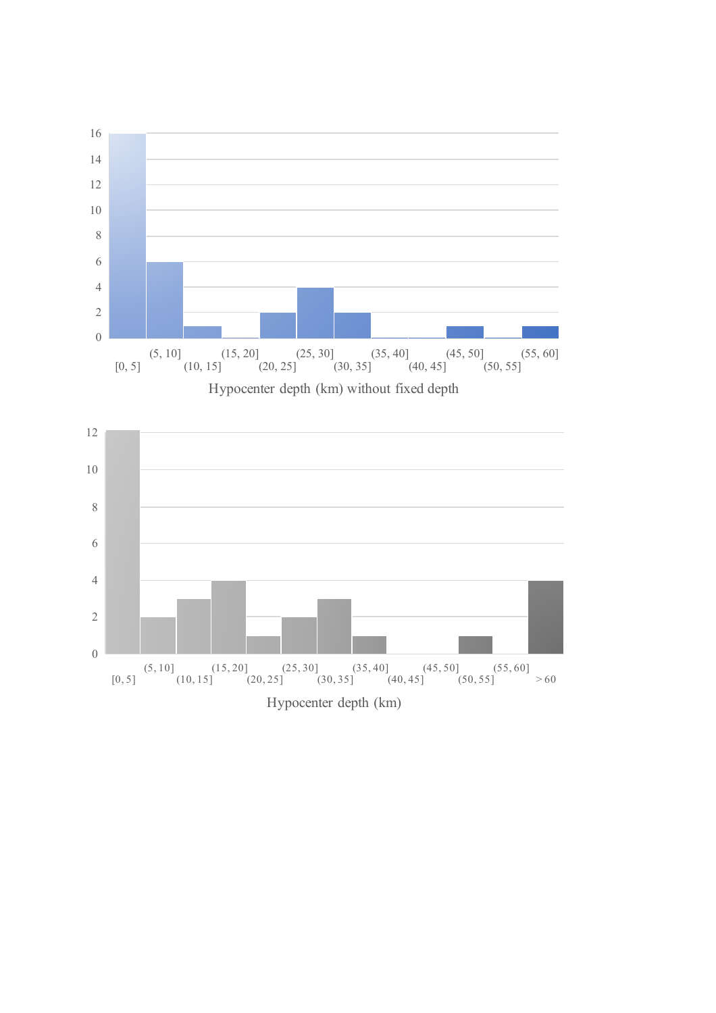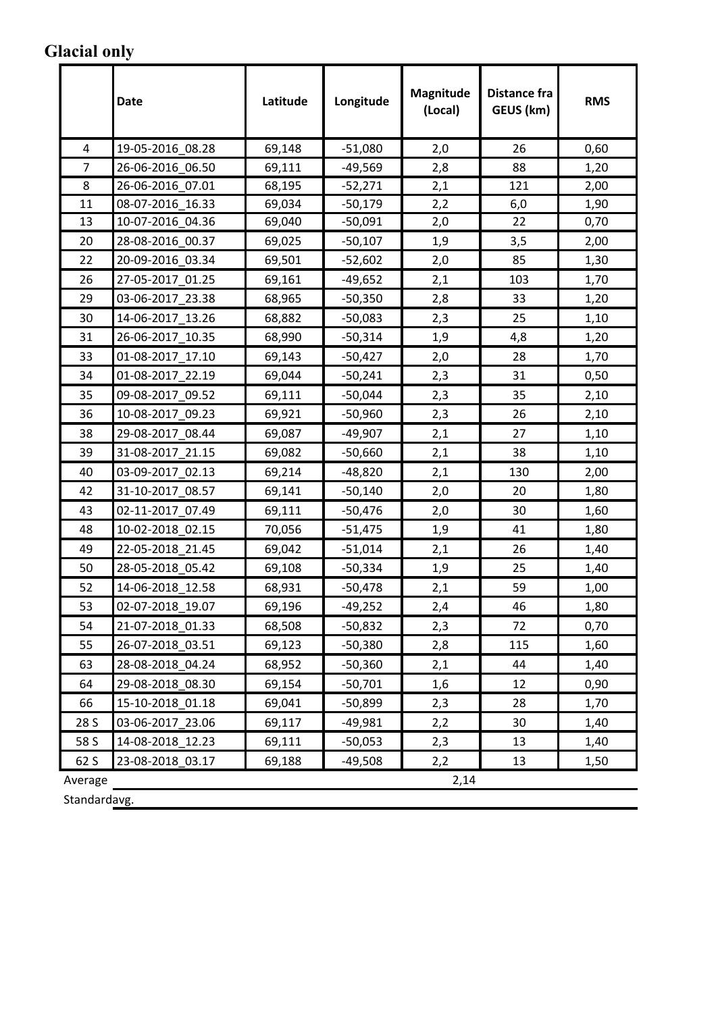#### **Glacial only**

|         | Date             | Latitude | Longitude | Magnitude<br>(Local) | Distance fra<br>GEUS (km) | <b>RMS</b> |
|---------|------------------|----------|-----------|----------------------|---------------------------|------------|
| 4       | 19-05-2016 08.28 | 69,148   | $-51,080$ | 2,0                  | 26                        | 0,60       |
| 7       | 26-06-2016 06.50 | 69,111   | $-49,569$ | 2,8                  | 88                        | 1,20       |
| 8       | 26-06-2016 07.01 | 68,195   | $-52,271$ | 2,1                  | 121                       | 2,00       |
| 11      | 08-07-2016 16.33 | 69,034   | $-50,179$ | 2,2                  | 6,0                       | 1,90       |
| 13      | 10-07-2016 04.36 | 69,040   | $-50,091$ | 2,0                  | 22                        | 0,70       |
| 20      | 28-08-2016_00.37 | 69,025   | $-50,107$ | 1,9                  | 3,5                       | 2,00       |
| 22      | 20-09-2016 03.34 | 69,501   | $-52,602$ | 2,0                  | 85                        | 1,30       |
| 26      | 27-05-2017 01.25 | 69,161   | $-49,652$ | 2,1                  | 103                       | 1,70       |
| 29      | 03-06-2017_23.38 | 68,965   | $-50,350$ | 2,8                  | 33                        | 1,20       |
| 30      | 14-06-2017 13.26 | 68,882   | $-50,083$ | 2,3                  | 25                        | 1,10       |
| 31      | 26-06-2017 10.35 | 68,990   | $-50,314$ | 1,9                  | 4,8                       | 1,20       |
| 33      | 01-08-2017_17.10 | 69,143   | $-50,427$ | 2,0                  | 28                        | 1,70       |
| 34      | 01-08-2017 22.19 | 69,044   | $-50,241$ | 2,3                  | 31                        | 0,50       |
| 35      | 09-08-2017 09.52 | 69,111   | $-50,044$ | 2,3                  | 35                        | 2,10       |
| 36      | 10-08-2017_09.23 | 69,921   | $-50,960$ | 2,3                  | 26                        | 2,10       |
| 38      | 29-08-2017 08.44 | 69,087   | $-49,907$ | 2,1                  | 27                        | 1,10       |
| 39      | 31-08-2017 21.15 | 69,082   | $-50,660$ | 2,1                  | 38                        | 1,10       |
| 40      | 03-09-2017_02.13 | 69,214   | $-48,820$ | 2,1                  | 130                       | 2,00       |
| 42      | 31-10-2017 08.57 | 69,141   | $-50,140$ | 2,0                  | 20                        | 1,80       |
| 43      | 02-11-2017 07.49 | 69,111   | $-50,476$ | 2,0                  | 30                        | 1,60       |
| 48      | 10-02-2018 02.15 | 70,056   | $-51,475$ | 1,9                  | 41                        | 1,80       |
| 49      | 22-05-2018 21.45 | 69,042   | $-51,014$ | 2,1                  | 26                        | 1,40       |
| 50      | 28-05-2018 05.42 | 69,108   | $-50,334$ | 1,9                  | 25                        | 1,40       |
| 52      | 14-06-2018 12.58 | 68,931   | $-50,478$ | 2,1                  | 59                        | 1,00       |
| 53      | 02-07-2018_19.07 | 69,196   | $-49,252$ | 2,4                  | 46                        | 1,80       |
| 54      | 21-07-2018 01.33 | 68,508   | $-50,832$ | 2,3                  | 72                        | 0,70       |
| 55      | 26-07-2018_03.51 | 69,123   | -50,380   | 2,8                  | 115                       | 1,60       |
| 63      | 28-08-2018 04.24 | 68,952   | $-50,360$ | 2,1                  | 44                        | 1,40       |
| 64      | 29-08-2018_08.30 | 69,154   | $-50,701$ | 1,6                  | 12                        | 0,90       |
| 66      | 15-10-2018_01.18 | 69,041   | -50,899   | 2,3                  | 28                        | 1,70       |
| 28 S    | 03-06-2017 23.06 | 69,117   | $-49,981$ | 2,2                  | 30                        | 1,40       |
| 58 S    | 14-08-2018 12.23 | 69,111   | $-50,053$ | 2,3                  | 13                        | 1,40       |
| 62 S    | 23-08-2018 03.17 | 69,188   | $-49,508$ | 2,2                  | 13                        | 1,50       |
| Average |                  |          |           | 2,14                 |                           |            |

Standardavg.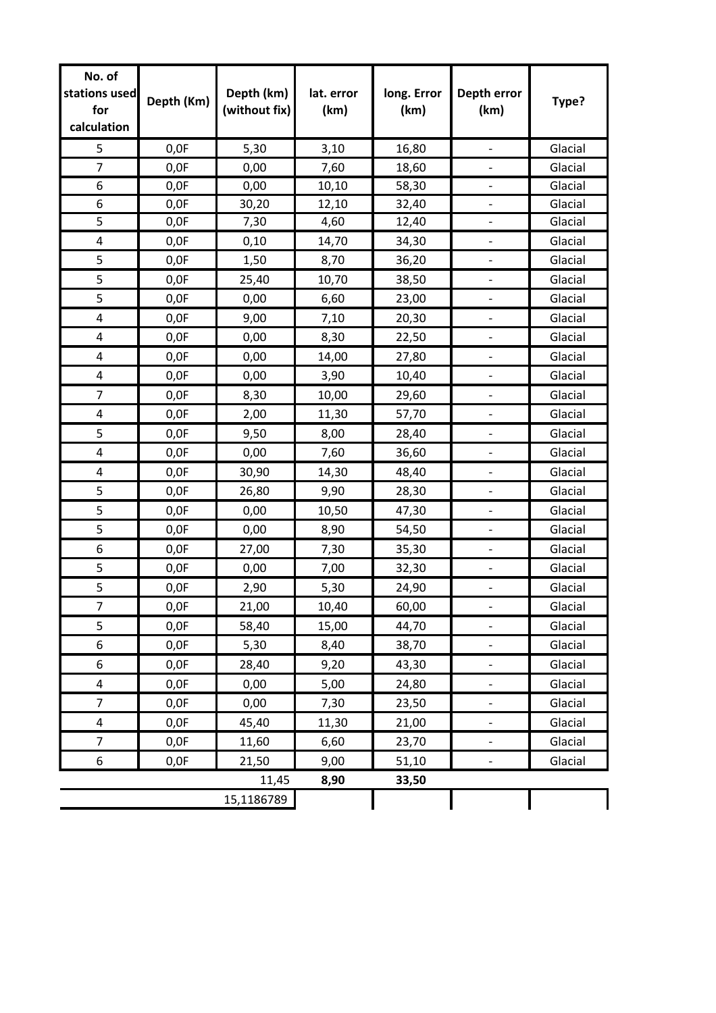| No. of<br>stations used<br>for<br>calculation | Depth (Km) | Depth (km)<br>(without fix) | lat. error<br>(km) | long. Error<br>(km) | Depth error<br>(km)      | Type?   |
|-----------------------------------------------|------------|-----------------------------|--------------------|---------------------|--------------------------|---------|
| 5                                             | 0,0F       | 5,30                        | 3,10               | 16,80               |                          | Glacial |
| $\overline{7}$                                | 0,0F       | 0,00                        | 7,60               | 18,60               |                          | Glacial |
| 6                                             | 0,0F       | 0,00                        | 10,10              | 58,30               |                          | Glacial |
| 6                                             | 0,0F       | 30,20                       | 12,10              | 32,40               |                          | Glacial |
| 5                                             | 0,0F       | 7,30                        | 4,60               | 12,40               |                          | Glacial |
| $\pmb{4}$                                     | 0,0F       | 0,10                        | 14,70              | 34,30               | $\overline{\phantom{a}}$ | Glacial |
| 5                                             | 0,0F       | 1,50                        | 8,70               | 36,20               |                          | Glacial |
| 5                                             | 0,0F       | 25,40                       | 10,70              | 38,50               |                          | Glacial |
| 5                                             | 0,0F       | 0,00                        | 6,60               | 23,00               | $\overline{\phantom{a}}$ | Glacial |
| 4                                             | 0,0F       | 9,00                        | 7,10               | 20,30               |                          | Glacial |
| 4                                             | 0,0F       | 0,00                        | 8,30               | 22,50               |                          | Glacial |
| 4                                             | 0,0F       | 0,00                        | 14,00              | 27,80               | $\overline{\phantom{a}}$ | Glacial |
| $\overline{\mathbf{4}}$                       | 0,0F       | 0,00                        | 3,90               | 10,40               |                          | Glacial |
| $\overline{7}$                                | 0,0F       | 8,30                        | 10,00              | 29,60               |                          | Glacial |
| $\pmb{4}$                                     | 0,0F       | 2,00                        | 11,30              | 57,70               | $\overline{\phantom{a}}$ | Glacial |
| 5                                             | 0,0F       | 9,50                        | 8,00               | 28,40               |                          | Glacial |
| 4                                             | 0,0F       | 0,00                        | 7,60               | 36,60               |                          | Glacial |
| 4                                             | 0,0F       | 30,90                       | 14,30              | 48,40               | $\overline{\phantom{a}}$ | Glacial |
| 5                                             | 0,0F       | 26,80                       | 9,90               | 28,30               |                          | Glacial |
| 5                                             | 0,0F       | 0,00                        | 10,50              | 47,30               |                          | Glacial |
| 5                                             | 0,0F       | 0,00                        | 8,90               | 54,50               | $\overline{\phantom{a}}$ | Glacial |
| 6                                             | 0,0F       | 27,00                       | 7,30               | 35,30               |                          | Glacial |
| 5                                             | 0,0F       | 0,00                        | 7,00               | 32,30               |                          | Glacial |
| 5                                             | 0,0F       | 2,90                        | 5,30               | 24,90               | $\overline{\phantom{a}}$ | Glacial |
| 7                                             | 0,0F       | 21,00                       | 10,40              | 60,00               |                          | Glacial |
| 5                                             | 0,0F       | 58,40                       | 15,00              | 44,70               |                          | Glacial |
| 6                                             | 0,0F       | 5,30                        | 8,40               | 38,70               | $\qquad \qquad -$        | Glacial |
| 6                                             | 0,0F       | 28,40                       | 9,20               | 43,30               |                          | Glacial |
| 4                                             | 0,0F       | 0,00                        | 5,00               | 24,80               |                          | Glacial |
| $\overline{7}$                                | 0,0F       | 0,00                        | 7,30               | 23,50               | $\qquad \qquad -$        | Glacial |
| 4                                             | 0,0F       | 45,40                       | 11,30              | 21,00               | $\overline{\phantom{a}}$ | Glacial |
| $\overline{7}$                                | 0,0F       | 11,60                       | 6,60               | 23,70               |                          | Glacial |
| 6                                             | 0,0F       | 21,50                       | 9,00               | 51,10               | $\overline{\phantom{a}}$ | Glacial |
|                                               |            | 11,45                       | 8,90               | 33,50               |                          |         |
|                                               |            | 15,1186789                  |                    |                     |                          |         |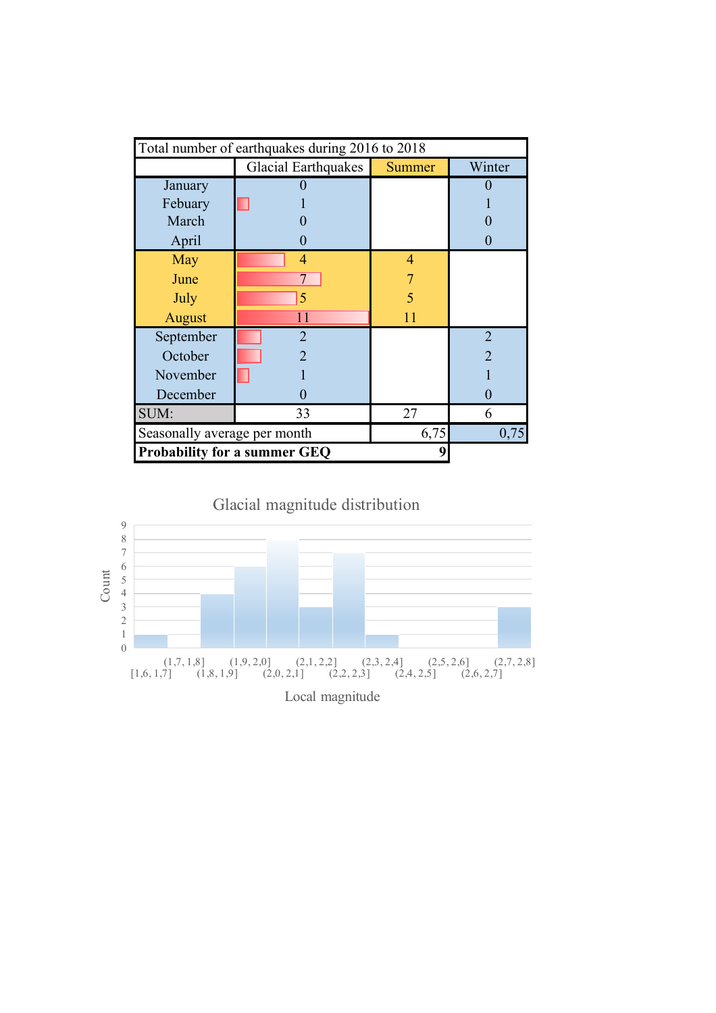|                              | Total number of earthquakes during 2016 to 2018 |               |                |  |  |  |  |  |  |  |  |
|------------------------------|-------------------------------------------------|---------------|----------------|--|--|--|--|--|--|--|--|
|                              | <b>Glacial Earthquakes</b>                      | <b>Summer</b> | Winter         |  |  |  |  |  |  |  |  |
| January                      |                                                 |               |                |  |  |  |  |  |  |  |  |
| Febuary                      |                                                 |               |                |  |  |  |  |  |  |  |  |
| March                        |                                                 |               |                |  |  |  |  |  |  |  |  |
| April                        |                                                 |               |                |  |  |  |  |  |  |  |  |
| May                          | $\overline{4}$                                  | 4             |                |  |  |  |  |  |  |  |  |
| June                         |                                                 |               |                |  |  |  |  |  |  |  |  |
| July                         | 5                                               | 5             |                |  |  |  |  |  |  |  |  |
| August                       | $\overline{11}$                                 | 11            |                |  |  |  |  |  |  |  |  |
| September                    | $\overline{2}$                                  |               | $\overline{2}$ |  |  |  |  |  |  |  |  |
| October                      | $\mathfrak{D}$                                  |               | $\overline{2}$ |  |  |  |  |  |  |  |  |
| November                     |                                                 |               |                |  |  |  |  |  |  |  |  |
| December                     |                                                 |               | 0              |  |  |  |  |  |  |  |  |
| SUM:                         | 6                                               |               |                |  |  |  |  |  |  |  |  |
| Seasonally average per month |                                                 | 6,75          | 0,75           |  |  |  |  |  |  |  |  |
|                              | <b>Probability for a summer GEQ</b>             |               |                |  |  |  |  |  |  |  |  |

Glacial magnitude distribution

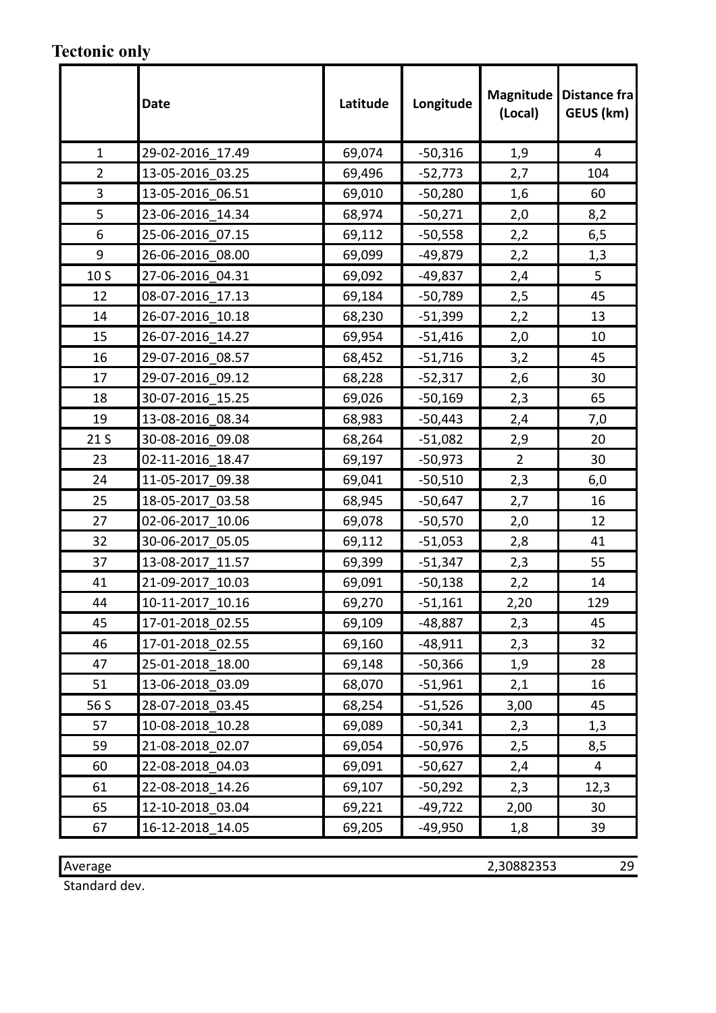### **Tectonic only**

|                 | <b>Date</b>      | Latitude | Longitude | <b>Magnitude</b><br>(Local) | Distance fra<br>GEUS (km) |
|-----------------|------------------|----------|-----------|-----------------------------|---------------------------|
| $\mathbf{1}$    | 29-02-2016_17.49 | 69,074   | $-50,316$ | 1,9                         | 4                         |
| $\overline{2}$  | 13-05-2016 03.25 | 69,496   | $-52,773$ | 2,7                         | 104                       |
| 3               | 13-05-2016 06.51 | 69,010   | $-50,280$ | 1,6                         | 60                        |
| 5               | 23-06-2016 14.34 | 68,974   | $-50,271$ | 2,0                         | 8,2                       |
| 6               | 25-06-2016 07.15 | 69,112   | $-50,558$ | 2,2                         | 6,5                       |
| 9               | 26-06-2016 08.00 | 69,099   | $-49,879$ | 2,2                         | 1,3                       |
| 10 S            | 27-06-2016 04.31 | 69,092   | $-49,837$ | 2,4                         | 5                         |
| 12              | 08-07-2016 17.13 | 69,184   | $-50,789$ | 2,5                         | 45                        |
| 14              | 26-07-2016 10.18 | 68,230   | $-51,399$ | 2,2                         | 13                        |
| 15              | 26-07-2016 14.27 | 69,954   | $-51,416$ | 2,0                         | 10                        |
| 16              | 29-07-2016 08.57 | 68,452   | $-51,716$ | 3,2                         | 45                        |
| 17              | 29-07-2016 09.12 | 68,228   | $-52,317$ | 2,6                         | 30                        |
| 18              | 30-07-2016 15.25 | 69,026   | $-50,169$ | 2,3                         | 65                        |
| 19              | 13-08-2016 08.34 | 68,983   | $-50,443$ | 2,4                         | 7,0                       |
| 21 <sub>S</sub> | 30-08-2016 09.08 | 68,264   | $-51,082$ | 2,9                         | 20                        |
| 23              | 02-11-2016 18.47 | 69,197   | $-50,973$ | $\overline{2}$              | 30                        |
| 24              | 11-05-2017 09.38 | 69,041   | $-50,510$ | 2,3                         | 6,0                       |
| 25              | 18-05-2017 03.58 | 68,945   | $-50,647$ | 2,7                         | 16                        |
| 27              | 02-06-2017 10.06 | 69,078   | $-50,570$ | 2,0                         | 12                        |
| 32              | 30-06-2017 05.05 | 69,112   | $-51,053$ | 2,8                         | 41                        |
| 37              | 13-08-2017 11.57 | 69,399   | $-51,347$ | 2,3                         | 55                        |
| 41              | 21-09-2017 10.03 | 69,091   | $-50,138$ | 2,2                         | 14                        |
| 44              | 10-11-2017 10.16 | 69,270   | $-51,161$ | 2,20                        | 129                       |
| 45              | 17-01-2018 02.55 | 69,109   | $-48,887$ | 2,3                         | 45                        |
| 46              | 17-01-2018 02.55 | 69,160   | $-48,911$ | 2,3                         | 32                        |
| 47              | 25-01-2018 18.00 | 69,148   | $-50,366$ | 1,9                         | 28                        |
| 51              | 13-06-2018 03.09 | 68,070   | $-51,961$ | 2,1                         | 16                        |
| 56 S            | 28-07-2018 03.45 | 68,254   | $-51,526$ | 3,00                        | 45                        |
| 57              | 10-08-2018 10.28 | 69,089   | $-50,341$ | 2,3                         | 1,3                       |
| 59              | 21-08-2018 02.07 | 69,054   | $-50,976$ | 2,5                         | 8,5                       |
| 60              | 22-08-2018 04.03 | 69,091   | $-50,627$ | 2,4                         | 4                         |
| 61              | 22-08-2018 14.26 | 69,107   | $-50,292$ | 2,3                         | 12,3                      |
| 65              | 12-10-2018 03.04 | 69,221   | $-49,722$ | 2,00                        | 30                        |
| 67              | 16-12-2018 14.05 | 69,205   | -49,950   | 1,8                         | 39                        |

Average 2,30882353 29

Standard dev.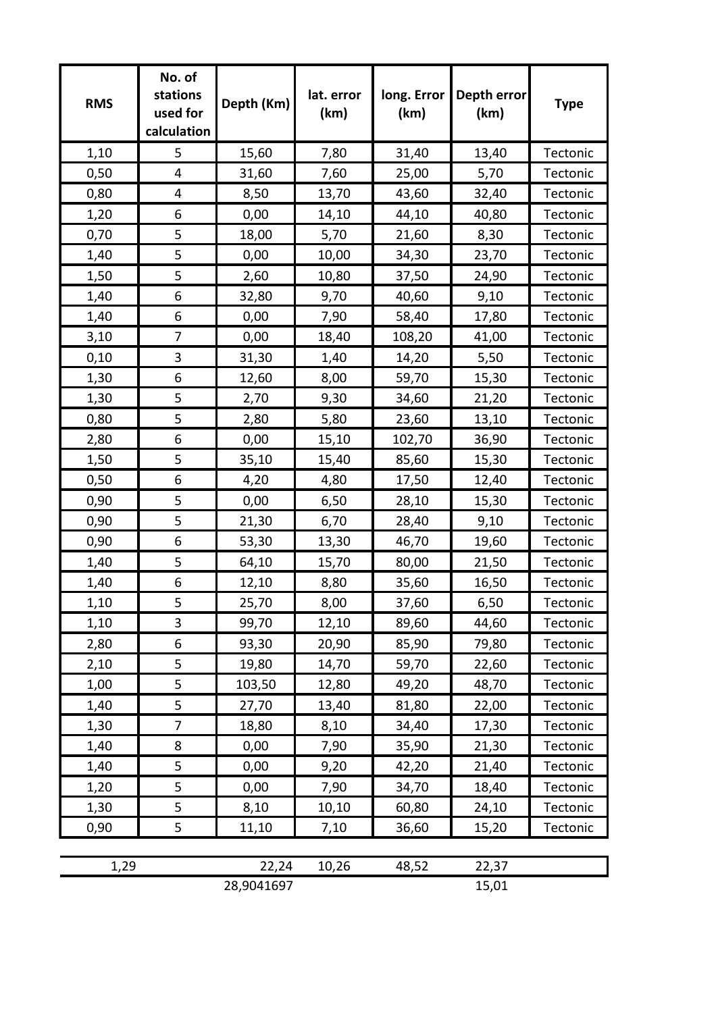| <b>RMS</b> | No. of<br>stations<br>used for<br>calculation | Depth (Km)          | lat. error<br>(km) | long. Error<br>(km) | Depth error<br>(km) | <b>Type</b> |
|------------|-----------------------------------------------|---------------------|--------------------|---------------------|---------------------|-------------|
| 1,10       | 5                                             | 15,60               | 7,80               | 31,40               | 13,40               | Tectonic    |
| 0,50       | 4                                             | 31,60               | 7,60               | 25,00               | 5,70                | Tectonic    |
| 0,80       | 4                                             | 8,50                | 13,70              | 43,60               | 32,40               | Tectonic    |
| 1,20       | 6                                             | 0,00                | 14,10              | 44,10               | 40,80               | Tectonic    |
| 0,70       | 5                                             | 18,00               | 5,70               | 21,60               | 8,30                | Tectonic    |
| 1,40       | 5                                             | 0,00                | 10,00              | 34,30               | 23,70               | Tectonic    |
| 1,50       | 5                                             | 2,60                | 10,80              | 37,50               | 24,90               | Tectonic    |
| 1,40       | 6                                             | 32,80               | 9,70               | 40,60               | 9,10                | Tectonic    |
| 1,40       | 6                                             | 0,00                | 7,90               | 58,40               | 17,80               | Tectonic    |
| 3,10       | $\overline{7}$                                | 0,00                | 18,40              | 108,20              | 41,00               | Tectonic    |
| 0,10       | 3                                             | 31,30               | 1,40               | 14,20               | 5,50                | Tectonic    |
| 1,30       | 6                                             | 12,60               | 8,00               | 59,70               | 15,30               | Tectonic    |
| 1,30       | 5                                             | 2,70                | 9,30               | 34,60               | 21,20               | Tectonic    |
| 0,80       | 5                                             | 2,80                | 5,80               | 23,60               | 13,10               | Tectonic    |
| 2,80       | 6                                             | 0,00                | 15,10              | 102,70              | 36,90               | Tectonic    |
| 1,50       | 5                                             | 35,10               | 15,40              | 85,60               | 15,30               | Tectonic    |
| 0,50       | 6                                             | 4,20                | 4,80               | 17,50               | 12,40               | Tectonic    |
| 0,90       | 5                                             | 0,00                | 6,50               | 28,10               | 15,30               | Tectonic    |
| 0,90       | 5                                             | 21,30               | 6,70               | 28,40               | 9,10                | Tectonic    |
| 0,90       | 6                                             | 53,30               | 13,30              | 46,70               | 19,60               | Tectonic    |
| 1,40       | 5                                             | 64,10               | 15,70              | 80,00               | 21,50               | Tectonic    |
| 1,40       | 6                                             | 12,10               | 8,80               | 35,60               | 16,50               | Tectonic    |
| 1,10       | 5                                             | 25,70               | 8,00               | 37,60               | 6,50                | Tectonic    |
| 1,10       | 3                                             | 99,70               | 12,10              | 89,60               | 44,60               | Tectonic    |
| 2,80       | 6                                             | 93,30               | 20,90              | 85,90               | 79,80               | Tectonic    |
| 2,10       | 5                                             | 19,80               | 14,70              | 59,70               | 22,60               | Tectonic    |
| 1,00       | 5                                             | 103,50              | 12,80              | 49,20               | 48,70               | Tectonic    |
| 1,40       | 5                                             | 27,70               | 13,40              | 81,80               | 22,00               | Tectonic    |
| 1,30       | 7                                             | 18,80               | 8,10               | 34,40               | 17,30               | Tectonic    |
| 1,40       | 8                                             | 0,00                | 7,90               | 35,90               | 21,30               | Tectonic    |
| 1,40       | 5                                             | 0,00                | 9,20               | 42,20               | 21,40               | Tectonic    |
| 1,20       | 5                                             | 0,00                | 7,90               | 34,70               | 18,40               | Tectonic    |
| 1,30       | 5                                             | 8,10                | 10,10              | 60,80               | 24,10               | Tectonic    |
| 0,90       | 5                                             | 11,10               | 7,10               | 36,60               | 15,20               | Tectonic    |
|            |                                               |                     |                    |                     |                     |             |
| 1,29       |                                               | 22,24<br>28,9041697 | 10,26              | 48,52               | 22,37<br>15,01      |             |